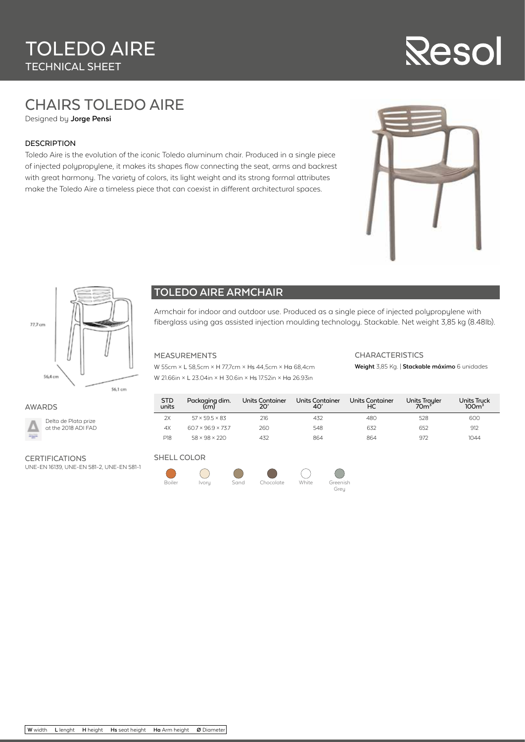# Resol

## CHAIRS TOLEDO AIRE

Designed by **Jorge Pensi**

#### DESCRIPTION

Toledo Aire is the evolution of the iconic Toledo aluminum chair. Produced in a single piece of injected polypropylene, it makes its shapes flow connecting the seat, arms and backrest with great harmony. The variety of colors, its light weight and its strong formal attributes make the Toledo Aire a timeless piece that can coexist in different architectural spaces.





#### **TOLEDO AIRE ARMCHAIR**

Armchair for indoor and outdoor use. Produced as a single piece of injected polypropylene with fiberglass using gas assisted injection moulding technology. Stackable. Net weight 3,85 kg (8.48lb).

#### MEASUREMENTS

W 55cm × L 58,5cm × H 77,7cm × Hs 44,5cm × Ha 68,4cm W 21.66in × L 23.04in × H 30.6in × Hs 17.52in × Ha 26.93in

#### **CHARACTERISTICS**

**Weight** 3,85 Kg. | **Stackable máximo** 6 unidades

#### AWARDS



Delta de Plata prize at the 2018 ADI FAD

### **CERTIFICATIONS**

UNE-EN 16139, UNE-EN 581-2, UNE-EN 581-1

#### STD units Packaging dim.<br>(cm) Units Container 20' Units Container 40' Units Container HC Units Trayler Units Truck<br>100m<sup>3</sup> 2X 57 × 59.5 × 83 216 432 480 528 600 4X 60.7 × 96.9 × 73.7 260 548 632 632 652 912 P18 58 × 98 × 220 432 864 864 864 972 1044

#### SHELL COLOR